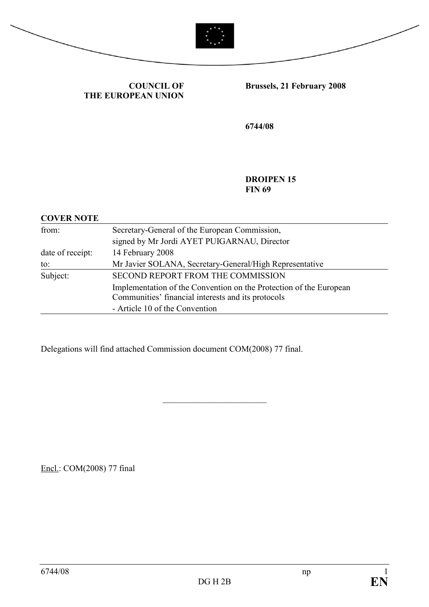



COUNCIL OF THE EUROPEAN UNION Brussels, 21 February 2008

6744/08

DROIPEN 15 **FIN 69** 

#### COVER NOTE

| from:            | Secretary-General of the European Commission,                                                                            |
|------------------|--------------------------------------------------------------------------------------------------------------------------|
|                  | signed by Mr Jordi AYET PUIGARNAU, Director                                                                              |
| date of receipt: | 14 February 2008                                                                                                         |
| to:              | Mr Javier SOLANA, Secretary-General/High Representative                                                                  |
| Subject:         | SECOND REPORT FROM THE COMMISSION                                                                                        |
|                  | Implementation of the Convention on the Protection of the European<br>Communities' financial interests and its protocols |
|                  | - Article 10 of the Convention                                                                                           |

\_\_\_\_\_\_\_\_\_\_\_\_\_\_\_\_\_\_\_\_\_\_\_\_

Delegations will find attached Commission document COM(2008) 77 final.

Encl.: COM(2008) 77 final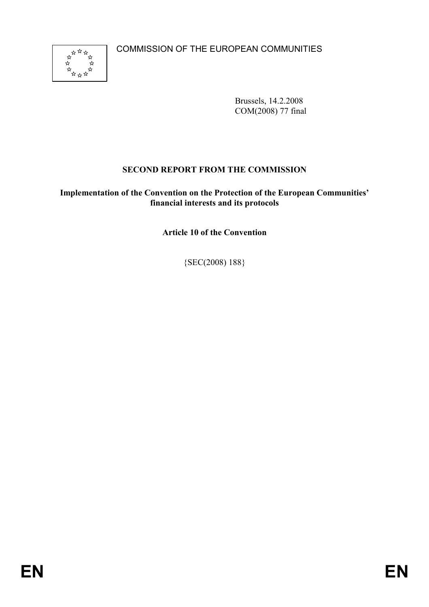COMMISSION OF THE EUROPEAN COMMUNITIES



Brussels, 14.2.2008 COM(2008) 77 final

# SECOND REPORT FROM THE COMMISSION

### Implementation of the Convention on the Protection of the European Communities' financial interests and its protocols

Article 10 of the Convention

{SEC(2008) 188}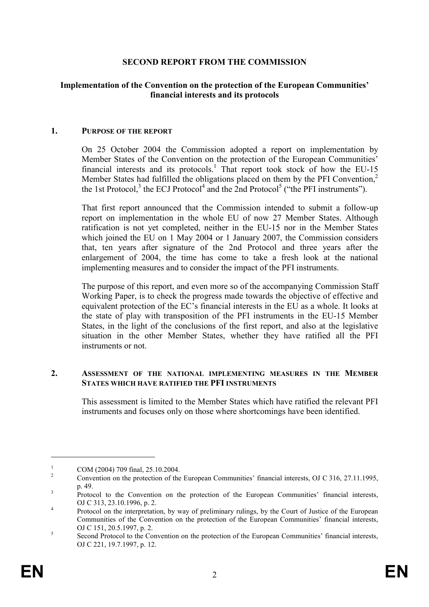### SECOND REPORT FROM THE COMMISSION

### Implementation of the Convention on the protection of the European Communities' financial interests and its protocols

#### 1. PURPOSE OF THE REPORT

On 25 October 2004 the Commission adopted a report on implementation by Member States of the Convention on the protection of the European Communities' financial interests and its protocols.<sup>1</sup> That report took stock of how the EU-15 Member States had fulfilled the obligations placed on them by the PFI Convention.<sup>2</sup> the 1st Protocol,<sup>3</sup> the ECJ Protocol<sup>4</sup> and the 2nd Protocol<sup>5</sup> ("the PFI instruments").

That first report announced that the Commission intended to submit a follow-up report on implementation in the whole EU of now 27 Member States. Although ratification is not yet completed, neither in the EU-15 nor in the Member States which joined the EU on 1 May 2004 or 1 January 2007, the Commission considers that, ten years after signature of the 2nd Protocol and three years after the enlargement of 2004, the time has come to take a fresh look at the national implementing measures and to consider the impact of the PFI instruments.

The purpose of this report, and even more so of the accompanying Commission Staff Working Paper, is to check the progress made towards the objective of effective and equivalent protection of the EC's financial interests in the EU as a whole. It looks at the state of play with transposition of the PFI instruments in the EU-15 Member States, in the light of the conclusions of the first report, and also at the legislative situation in the other Member States, whether they have ratified all the PFI instruments or not.

#### 2. ASSESSMENT OF THE NATIONAL IMPLEMENTING MEASURES IN THE MEMBER STATES WHICH HAVE RATIFIED THE PFI INSTRUMENTS

This assessment is limited to the Member States which have ratified the relevant PFI instruments and focuses only on those where shortcomings have been identified.

<sup>1</sup> COM (2004) 709 final, 25.10.2004.

<sup>2</sup> Convention on the protection of the European Communities' financial interests, OJ C 316, 27.11.1995, p. 49.

<sup>3</sup> Protocol to the Convention on the protection of the European Communities' financial interests, OJ C 313, 23.10.1996, p. 2.

<sup>4</sup> Protocol on the interpretation, by way of preliminary rulings, by the Court of Justice of the European Communities of the Convention on the protection of the European Communities' financial interests, OJ C 151, 20.5.1997, p. 2.

<sup>5</sup> Second Protocol to the Convention on the protection of the European Communities' financial interests, OJ C 221, 19.7.1997, p. 12.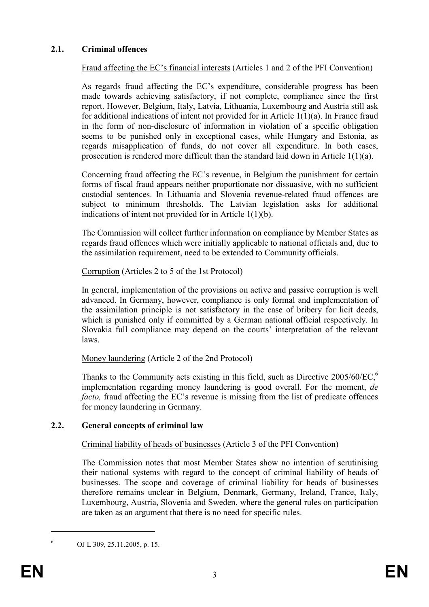# 2.1. Criminal offences

Fraud affecting the EC's financial interests (Articles 1 and 2 of the PFI Convention)

As regards fraud affecting the EC's expenditure, considerable progress has been made towards achieving satisfactory, if not complete, compliance since the first report. However, Belgium, Italy, Latvia, Lithuania, Luxembourg and Austria still ask for additional indications of intent not provided for in Article 1(1)(a). In France fraud in the form of non-disclosure of information in violation of a specific obligation seems to be punished only in exceptional cases, while Hungary and Estonia, as regards misapplication of funds, do not cover all expenditure. In both cases, prosecution is rendered more difficult than the standard laid down in Article 1(1)(a).

Concerning fraud affecting the EC's revenue, in Belgium the punishment for certain forms of fiscal fraud appears neither proportionate nor dissuasive, with no sufficient custodial sentences. In Lithuania and Slovenia revenue-related fraud offences are subject to minimum thresholds. The Latvian legislation asks for additional indications of intent not provided for in Article 1(1)(b).

The Commission will collect further information on compliance by Member States as regards fraud offences which were initially applicable to national officials and, due to the assimilation requirement, need to be extended to Community officials.

Corruption (Articles 2 to 5 of the 1st Protocol)

In general, implementation of the provisions on active and passive corruption is well advanced. In Germany, however, compliance is only formal and implementation of the assimilation principle is not satisfactory in the case of bribery for licit deeds, which is punished only if committed by a German national official respectively. In Slovakia full compliance may depend on the courts' interpretation of the relevant laws.

Money laundering (Article 2 of the 2nd Protocol)

Thanks to the Community acts existing in this field, such as Directive  $2005/60/EC$ ,<sup>6</sup> implementation regarding money laundering is good overall. For the moment, de facto, fraud affecting the EC's revenue is missing from the list of predicate offences for money laundering in Germany.

# 2.2. General concepts of criminal law

Criminal liability of heads of businesses (Article 3 of the PFI Convention)

The Commission notes that most Member States show no intention of scrutinising their national systems with regard to the concept of criminal liability of heads of businesses. The scope and coverage of criminal liability for heads of businesses therefore remains unclear in Belgium, Denmark, Germany, Ireland, France, Italy, Luxembourg, Austria, Slovenia and Sweden, where the general rules on participation are taken as an argument that there is no need for specific rules.

OJ L 309, 25.11.2005, p. 15.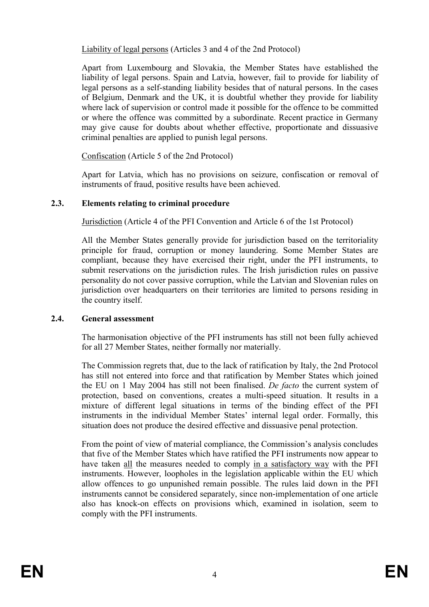Liability of legal persons (Articles 3 and 4 of the 2nd Protocol)

Apart from Luxembourg and Slovakia, the Member States have established the liability of legal persons. Spain and Latvia, however, fail to provide for liability of legal persons as a self-standing liability besides that of natural persons. In the cases of Belgium, Denmark and the UK, it is doubtful whether they provide for liability where lack of supervision or control made it possible for the offence to be committed or where the offence was committed by a subordinate. Recent practice in Germany may give cause for doubts about whether effective, proportionate and dissuasive criminal penalties are applied to punish legal persons.

Confiscation (Article 5 of the 2nd Protocol)

Apart for Latvia, which has no provisions on seizure, confiscation or removal of instruments of fraud, positive results have been achieved.

### 2.3. Elements relating to criminal procedure

Jurisdiction (Article 4 of the PFI Convention and Article 6 of the 1st Protocol)

All the Member States generally provide for jurisdiction based on the territoriality principle for fraud, corruption or money laundering. Some Member States are compliant, because they have exercised their right, under the PFI instruments, to submit reservations on the jurisdiction rules. The Irish jurisdiction rules on passive personality do not cover passive corruption, while the Latvian and Slovenian rules on jurisdiction over headquarters on their territories are limited to persons residing in the country itself.

### 2.4. General assessment

The harmonisation objective of the PFI instruments has still not been fully achieved for all 27 Member States, neither formally nor materially.

The Commission regrets that, due to the lack of ratification by Italy, the 2nd Protocol has still not entered into force and that ratification by Member States which joined the EU on 1 May 2004 has still not been finalised. De facto the current system of protection, based on conventions, creates a multi-speed situation. It results in a mixture of different legal situations in terms of the binding effect of the PFI instruments in the individual Member States' internal legal order. Formally, this situation does not produce the desired effective and dissuasive penal protection.

From the point of view of material compliance, the Commission's analysis concludes that five of the Member States which have ratified the PFI instruments now appear to have taken all the measures needed to comply in a satisfactory way with the PFI instruments. However, loopholes in the legislation applicable within the EU which allow offences to go unpunished remain possible. The rules laid down in the PFI instruments cannot be considered separately, since non-implementation of one article also has knock-on effects on provisions which, examined in isolation, seem to comply with the PFI instruments.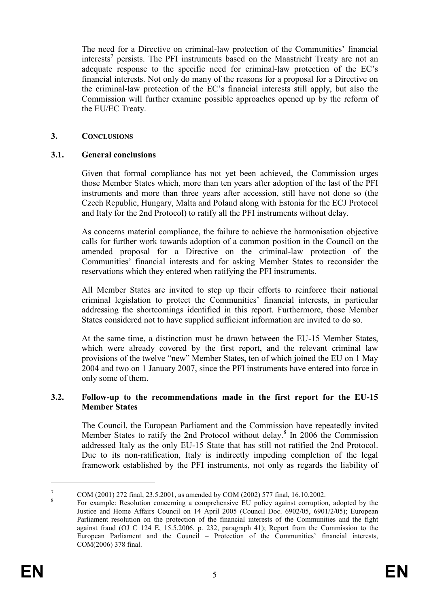The need for a Directive on criminal-law protection of the Communities' financial interests<sup>7</sup> persists. The PFI instruments based on the Maastricht Treaty are not an adequate response to the specific need for criminal-law protection of the EC's financial interests. Not only do many of the reasons for a proposal for a Directive on the criminal-law protection of the EC's financial interests still apply, but also the Commission will further examine possible approaches opened up by the reform of the EU/EC Treaty.

### 3. CONCLUSIONS

### 3.1. General conclusions

Given that formal compliance has not yet been achieved, the Commission urges those Member States which, more than ten years after adoption of the last of the PFI instruments and more than three years after accession, still have not done so (the Czech Republic, Hungary, Malta and Poland along with Estonia for the ECJ Protocol and Italy for the 2nd Protocol) to ratify all the PFI instruments without delay.

As concerns material compliance, the failure to achieve the harmonisation objective calls for further work towards adoption of a common position in the Council on the amended proposal for a Directive on the criminal-law protection of the Communities' financial interests and for asking Member States to reconsider the reservations which they entered when ratifying the PFI instruments.

All Member States are invited to step up their efforts to reinforce their national criminal legislation to protect the Communities' financial interests, in particular addressing the shortcomings identified in this report. Furthermore, those Member States considered not to have supplied sufficient information are invited to do so.

At the same time, a distinction must be drawn between the EU-15 Member States, which were already covered by the first report, and the relevant criminal law provisions of the twelve "new" Member States, ten of which joined the EU on 1 May 2004 and two on 1 January 2007, since the PFI instruments have entered into force in only some of them.

#### 3.2. Follow-up to the recommendations made in the first report for the EU-15 Member States

The Council, the European Parliament and the Commission have repeatedly invited Member States to ratify the 2nd Protocol without delay.<sup>8</sup> In 2006 the Commission addressed Italy as the only EU-15 State that has still not ratified the 2nd Protocol. Due to its non-ratification, Italy is indirectly impeding completion of the legal framework established by the PFI instruments, not only as regards the liability of

<sup>7</sup> COM (2001) 272 final, 23.5.2001, as amended by COM (2002) 577 final, 16.10.2002. 8

For example: Resolution concerning a comprehensive EU policy against corruption, adopted by the Justice and Home Affairs Council on 14 April 2005 (Council Doc. 6902/05, 6901/2/05); European Parliament resolution on the protection of the financial interests of the Communities and the fight against fraud (OJ C 124 E, 15.5.2006, p. 232, paragraph 41); Report from the Commission to the European Parliament and the Council – Protection of the Communities' financial interests, COM(2006) 378 final.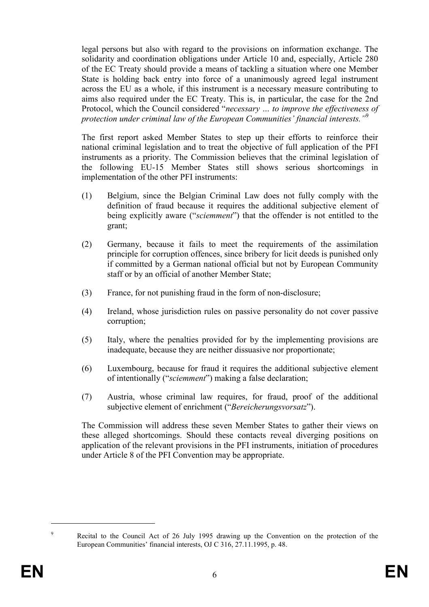legal persons but also with regard to the provisions on information exchange. The solidarity and coordination obligations under Article 10 and, especially, Article 280 of the EC Treaty should provide a means of tackling a situation where one Member State is holding back entry into force of a unanimously agreed legal instrument across the EU as a whole, if this instrument is a necessary measure contributing to aims also required under the EC Treaty. This is, in particular, the case for the 2nd Protocol, which the Council considered "necessary … to improve the effectiveness of protection under criminal law of the European Communities' financial interests."<sup>9</sup>

The first report asked Member States to step up their efforts to reinforce their national criminal legislation and to treat the objective of full application of the PFI instruments as a priority. The Commission believes that the criminal legislation of the following EU-15 Member States still shows serious shortcomings in implementation of the other PFI instruments:

- (1) Belgium, since the Belgian Criminal Law does not fully comply with the definition of fraud because it requires the additional subjective element of being explicitly aware ("*sciemment*") that the offender is not entitled to the grant;
- (2) Germany, because it fails to meet the requirements of the assimilation principle for corruption offences, since bribery for licit deeds is punished only if committed by a German national official but not by European Community staff or by an official of another Member State;
- (3) France, for not punishing fraud in the form of non-disclosure;
- (4) Ireland, whose jurisdiction rules on passive personality do not cover passive corruption;
- (5) Italy, where the penalties provided for by the implementing provisions are inadequate, because they are neither dissuasive nor proportionate;
- (6) Luxembourg, because for fraud it requires the additional subjective element of intentionally ("sciemment") making a false declaration;
- (7) Austria, whose criminal law requires, for fraud, proof of the additional subjective element of enrichment ("Bereicherungsvorsatz").

The Commission will address these seven Member States to gather their views on these alleged shortcomings. Should these contacts reveal diverging positions on application of the relevant provisions in the PFI instruments, initiation of procedures under Article 8 of the PFI Convention may be appropriate.

Recital to the Council Act of 26 July 1995 drawing up the Convention on the protection of the European Communities' financial interests, OJ C 316, 27.11.1995, p. 48.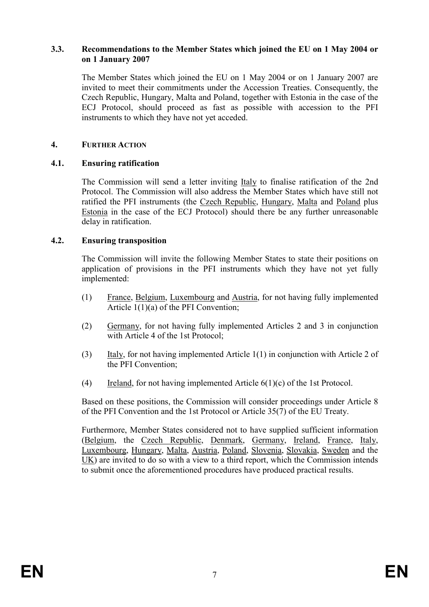#### 3.3. Recommendations to the Member States which joined the EU on 1 May 2004 or on 1 January 2007

The Member States which joined the EU on 1 May 2004 or on 1 January 2007 are invited to meet their commitments under the Accession Treaties. Consequently, the Czech Republic, Hungary, Malta and Poland, together with Estonia in the case of the ECJ Protocol, should proceed as fast as possible with accession to the PFI instruments to which they have not yet acceded.

### 4. FURTHER ACTION

### 4.1. Ensuring ratification

The Commission will send a letter inviting Italy to finalise ratification of the 2nd Protocol. The Commission will also address the Member States which have still not ratified the PFI instruments (the Czech Republic, Hungary, Malta and Poland plus Estonia in the case of the ECJ Protocol) should there be any further unreasonable delay in ratification.

### 4.2. Ensuring transposition

The Commission will invite the following Member States to state their positions on application of provisions in the PFI instruments which they have not yet fully implemented:

- (1) France, Belgium, Luxembourg and Austria, for not having fully implemented Article 1(1)(a) of the PFI Convention;
- (2) Germany, for not having fully implemented Articles 2 and 3 in conjunction with Article 4 of the 1st Protocol;
- (3) Italy, for not having implemented Article 1(1) in conjunction with Article 2 of the PFI Convention;
- (4) Ireland, for not having implemented Article  $6(1)(c)$  of the 1st Protocol.

Based on these positions, the Commission will consider proceedings under Article 8 of the PFI Convention and the 1st Protocol or Article 35(7) of the EU Treaty.

Furthermore, Member States considered not to have supplied sufficient information (Belgium, the Czech Republic, Denmark, Germany, Ireland, France, Italy, Luxembourg, Hungary, Malta, Austria, Poland, Slovenia, Slovakia, Sweden and the UK) are invited to do so with a view to a third report, which the Commission intends to submit once the aforementioned procedures have produced practical results.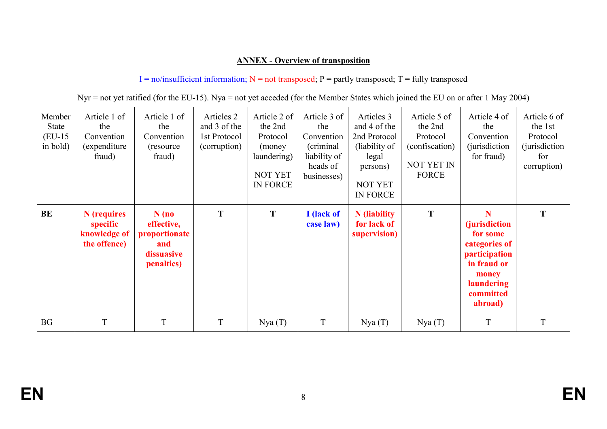# ANNEX - Overview of transposition

 $I = no/insufficient information; N = not transposed; P = partly transposed; T = fully transposed$ 

|  |  | Nyr = not yet ratified (for the EU-15). Nya = not yet acceded (for the Member States which joined the EU on or after 1 May 2004) |  |
|--|--|----------------------------------------------------------------------------------------------------------------------------------|--|
|  |  |                                                                                                                                  |  |

| Member<br><b>State</b><br>$(EU-15)$<br>in bold) | Article 1 of<br>the<br>Convention<br>(expenditure)<br>fraud) | Article 1 of<br>the<br>Convention<br>(resource)<br>fraud)                 | Articles 2<br>and 3 of the<br>1st Protocol<br>(corruption) | Article 2 of<br>the 2nd<br>Protocol<br>(money)<br>laundering)<br><b>NOT YET</b><br><b>IN FORCE</b> | Article 3 of<br>the<br>Convention<br>(criminal)<br>liability of<br>heads of<br>businesses) | Articles 3<br>and 4 of the<br>2nd Protocol<br>(liability of<br>legal<br>persons)<br><b>NOT YET</b><br>IN FORCE | Article 5 of<br>the 2nd<br>Protocol<br>(confiscation)<br><b>NOT YET IN</b><br><b>FORCE</b> | Article 4 of<br>the<br>Convention<br><i>(jurisdiction)</i><br>for fraud)                                                                      | Article 6 of<br>the 1st<br>Protocol<br><i>(jurisdiction)</i><br>for<br>corruption) |
|-------------------------------------------------|--------------------------------------------------------------|---------------------------------------------------------------------------|------------------------------------------------------------|----------------------------------------------------------------------------------------------------|--------------------------------------------------------------------------------------------|----------------------------------------------------------------------------------------------------------------|--------------------------------------------------------------------------------------------|-----------------------------------------------------------------------------------------------------------------------------------------------|------------------------------------------------------------------------------------|
| BE                                              | N (requires<br>specific<br>knowledge of<br>the offence)      | $N$ (no<br>effective,<br>proportionate<br>and<br>dissuasive<br>penalties) | T                                                          | T                                                                                                  | I (lack of<br>case law)                                                                    | <b>N</b> (liability<br>for lack of<br>supervision)                                                             | T                                                                                          | N<br><i>(jurisdiction)</i><br>for some<br>categories of<br>participation<br>in fraud or<br>money<br><b>laundering</b><br>committed<br>abroad) | T                                                                                  |
| <b>BG</b>                                       | T                                                            | T                                                                         | T                                                          | Nya(T)                                                                                             | T                                                                                          | Nya(T)                                                                                                         | Nya(T)                                                                                     | T                                                                                                                                             | T                                                                                  |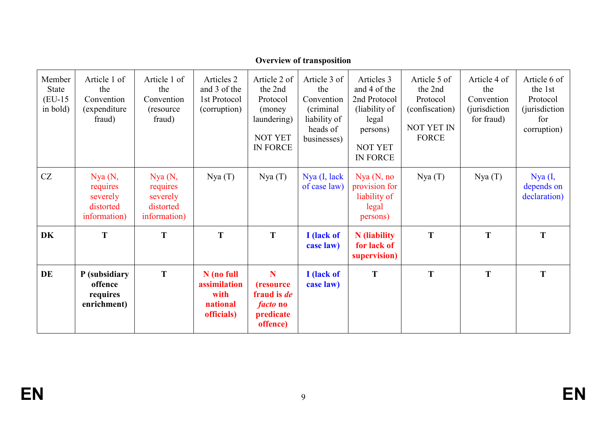| Member<br><b>State</b><br>$(EU-15)$<br>in bold) | Article 1 of<br>the<br>Convention<br>(expenditure)<br>fraud) | Article 1 of<br>the<br>Convention<br>(resource)<br>fraud)   | Articles 2<br>and 3 of the<br>1st Protocol<br>(corruption)   | Article 2 of<br>the 2nd<br>Protocol<br>(money)<br>laundering)<br><b>NOT YET</b><br><b>IN FORCE</b> | Article 3 of<br>the<br>Convention<br>(criminal)<br>liability of<br>heads of<br>businesses) | Articles 3<br>and 4 of the<br>2nd Protocol<br>(liability of<br>legal<br>persons)<br><b>NOT YET</b><br><b>IN FORCE</b> | Article 5 of<br>the 2nd<br>Protocol<br>(confiscation)<br><b>NOT YET IN</b><br><b>FORCE</b> | Article 4 of<br>the<br>Convention<br><i>(jurisdiction)</i><br>for fraud) | Article 6 of<br>the 1st<br>Protocol<br><i>(jurisdiction)</i><br>for<br>corruption) |
|-------------------------------------------------|--------------------------------------------------------------|-------------------------------------------------------------|--------------------------------------------------------------|----------------------------------------------------------------------------------------------------|--------------------------------------------------------------------------------------------|-----------------------------------------------------------------------------------------------------------------------|--------------------------------------------------------------------------------------------|--------------------------------------------------------------------------|------------------------------------------------------------------------------------|
| CZ                                              | Nya(N,<br>requires<br>severely<br>distorted<br>information)  | Nya(N,<br>requires<br>severely<br>distorted<br>information) | Nya(T)                                                       | Nya(T)                                                                                             | Nya (I, lack<br>of case law)                                                               | Nya (N, no)<br>provision for<br>liability of<br>legal<br>persons)                                                     | Nya(T)                                                                                     | Nya(T)                                                                   | Nya (I,<br>depends on<br>declaration)                                              |
| <b>DK</b>                                       | T                                                            | T                                                           | T                                                            | T                                                                                                  | I (lack of<br>case law)                                                                    | <b>N</b> (liability<br>for lack of<br>supervision)                                                                    | T                                                                                          | T                                                                        | T                                                                                  |
| DE                                              | P (subsidiary<br>offence<br>requires<br>enrichment)          | T                                                           | N (no full<br>assimilation<br>with<br>national<br>officials) | N<br><i>(resource)</i><br>fraud is <i>de</i><br><i>facto</i> no<br>predicate<br>offence)           | I (lack of<br>case law)                                                                    | T                                                                                                                     | T                                                                                          | T                                                                        | T                                                                                  |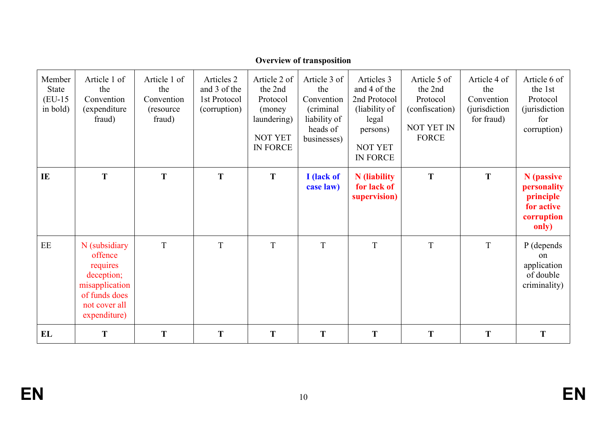| Member<br><b>State</b><br>$(EU-15)$<br>in bold) | Article 1 of<br>the<br>Convention<br>(expenditure)<br>fraud)                                                           | Article 1 of<br>the<br>Convention<br>(resource)<br>fraud) | Articles 2<br>and 3 of the<br>1st Protocol<br>(corruption) | Article 2 of<br>the 2nd<br>Protocol<br>(money)<br>laundering)<br><b>NOT YET</b><br><b>IN FORCE</b> | Article 3 of<br>the<br>Convention<br>(criminal<br>liability of<br>heads of<br>businesses) | Articles 3<br>and 4 of the<br>2nd Protocol<br>(liability of<br>legal<br>persons)<br><b>NOT YET</b><br><b>IN FORCE</b> | Article 5 of<br>the 2nd<br>Protocol<br>(confiscation)<br>NOT YET IN<br><b>FORCE</b> | Article 4 of<br>the<br>Convention<br><i>(jurisdiction)</i><br>for fraud) | Article 6 of<br>the 1st<br>Protocol<br><i>(jurisdiction)</i><br>for<br>corruption) |
|-------------------------------------------------|------------------------------------------------------------------------------------------------------------------------|-----------------------------------------------------------|------------------------------------------------------------|----------------------------------------------------------------------------------------------------|-------------------------------------------------------------------------------------------|-----------------------------------------------------------------------------------------------------------------------|-------------------------------------------------------------------------------------|--------------------------------------------------------------------------|------------------------------------------------------------------------------------|
| IE                                              | T                                                                                                                      | T                                                         | T                                                          | T                                                                                                  | I (lack of<br>case law)                                                                   | <b>N</b> (liability<br>for lack of<br>supervision)                                                                    | T                                                                                   | T                                                                        | N (passive<br>personality<br>principle<br>for active<br>corruption<br>only)        |
| EE                                              | N (subsidiary<br>offence<br>requires<br>deception;<br>misapplication<br>of funds does<br>not cover all<br>expenditure) | T                                                         | T                                                          | T                                                                                                  | T                                                                                         | $\boldsymbol{\mathrm{T}}$                                                                                             | T                                                                                   | T                                                                        | P (depends<br>$_{\rm on}$<br>application<br>of double<br>criminality)              |
| EL                                              | T                                                                                                                      | T                                                         | T                                                          | T                                                                                                  | T                                                                                         | T                                                                                                                     | T                                                                                   | T                                                                        | T                                                                                  |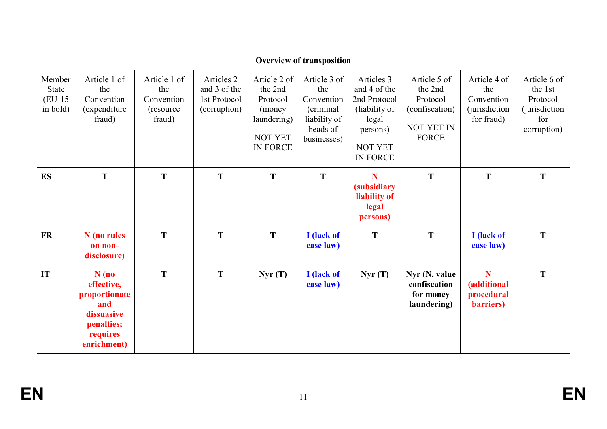| Member<br><b>State</b><br>$(EU-15)$<br>in bold) | Article 1 of<br>the<br>Convention<br>(expenditure)<br>fraud)                                         | Article 1 of<br>the<br>Convention<br>(resource)<br>fraud) | Articles 2<br>and 3 of the<br>1st Protocol<br>(corruption) | Article 2 of<br>the 2nd<br>Protocol<br>(money)<br>laundering)<br><b>NOT YET</b><br>IN FORCE | Article 3 of<br>the<br>Convention<br>(criminal<br>liability of<br>heads of<br>businesses) | Articles 3<br>and 4 of the<br>2nd Protocol<br>(liability of<br>legal<br>persons)<br>NOT YET<br>IN FORCE | Article 5 of<br>the 2nd<br>Protocol<br>(confiscation)<br><b>NOT YET IN</b><br><b>FORCE</b> | Article 4 of<br>the<br>Convention<br><i>(jurisdiction)</i><br>for fraud) | Article 6 of<br>the 1st<br>Protocol<br><i>(jurisdiction)</i><br>for<br>corruption) |
|-------------------------------------------------|------------------------------------------------------------------------------------------------------|-----------------------------------------------------------|------------------------------------------------------------|---------------------------------------------------------------------------------------------|-------------------------------------------------------------------------------------------|---------------------------------------------------------------------------------------------------------|--------------------------------------------------------------------------------------------|--------------------------------------------------------------------------|------------------------------------------------------------------------------------|
| <b>ES</b>                                       | T                                                                                                    | T                                                         | T                                                          | T                                                                                           | T                                                                                         | N<br><i>(subsidiary)</i><br>liability of<br>legal<br>persons)                                           | T                                                                                          | T                                                                        | T                                                                                  |
| <b>FR</b>                                       | N (no rules<br>on non-<br>disclosure)                                                                | T                                                         | T                                                          | T                                                                                           | I (lack of<br>case law)                                                                   | T                                                                                                       | T                                                                                          | I (lack of<br>case law)                                                  | T                                                                                  |
| IT                                              | $N$ (no<br>effective,<br>proportionate<br>and<br>dissuasive<br>penalties;<br>requires<br>enrichment) | T                                                         | T                                                          | Nyr(T)                                                                                      | I (lack of<br>case law)                                                                   | Nyr(T)                                                                                                  | Nyr $(N, value)$<br>confiscation<br>for money<br>laundering)                               | N<br>(additional<br>procedural<br>barriers)                              | T                                                                                  |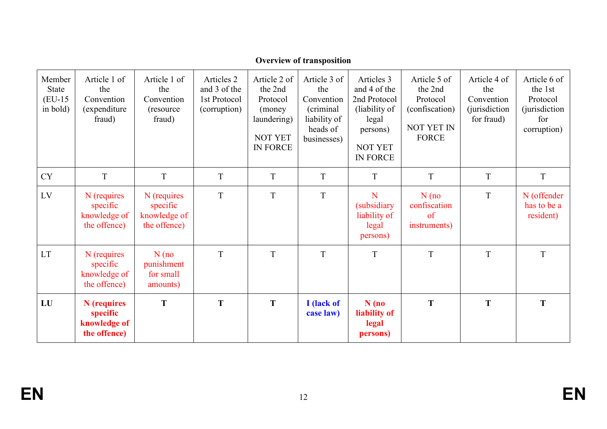| Member<br><b>State</b><br>$(EU-15)$<br>in bold) | Article 1 of<br>the<br>Convention<br>(expenditure)<br>fraud) | Article 1 of<br>the<br>Convention<br>(resource)<br>fraud) | Articles 2<br>and 3 of the<br>1st Protocol<br>(corruption) | Article 2 of<br>the 2nd<br>Protocol<br>(money)<br>laundering)<br><b>NOT YET</b><br><b>IN FORCE</b> | Article 3 of<br>the<br>Convention<br>(criminal)<br>liability of<br>heads of<br>businesses) | Articles 3<br>and 4 of the<br>2nd Protocol<br>(liability of<br>legal<br>persons)<br><b>NOT YET</b><br><b>IN FORCE</b> | Article 5 of<br>the 2nd<br>Protocol<br>(confiscation)<br><b>NOT YET IN</b><br><b>FORCE</b> | Article 4 of<br>the<br>Convention<br><i>(jurisdiction)</i><br>for fraud) | Article 6 of<br>the 1st<br>Protocol<br><i>(jurisdiction)</i><br>for<br>corruption) |
|-------------------------------------------------|--------------------------------------------------------------|-----------------------------------------------------------|------------------------------------------------------------|----------------------------------------------------------------------------------------------------|--------------------------------------------------------------------------------------------|-----------------------------------------------------------------------------------------------------------------------|--------------------------------------------------------------------------------------------|--------------------------------------------------------------------------|------------------------------------------------------------------------------------|
| <b>CY</b>                                       | T                                                            | $\mathbf T$                                               | $\mathbf T$                                                | $\mathbf T$                                                                                        | $\mathbf T$                                                                                | $\mathbf T$                                                                                                           | T                                                                                          | $\mathbf T$                                                              | $\mathbf T$                                                                        |
| LV                                              | N (requires<br>specific<br>knowledge of<br>the offence)      | N (requires<br>specific<br>knowledge of<br>the offence)   | T                                                          | T                                                                                                  | T                                                                                          | N<br><i>(subsidiary)</i><br>liability of<br>legal<br>persons)                                                         | $N$ (no<br>confiscation<br>of<br>instruments)                                              | T                                                                        | N (offender<br>has to be a<br>resident)                                            |
| <b>LT</b>                                       | N (requires<br>specific<br>knowledge of<br>the offence)      | $N$ (no<br>punishment<br>for small<br>amounts)            | T                                                          | T                                                                                                  | T                                                                                          | T                                                                                                                     | T                                                                                          | T                                                                        | T                                                                                  |
| LU                                              | N (requires<br>specific<br>knowledge of<br>the offence)      | T                                                         | T                                                          | T                                                                                                  | I (lack of<br>case law)                                                                    | $N$ (no<br>liability of<br>legal<br>persons)                                                                          | T                                                                                          | T                                                                        | T                                                                                  |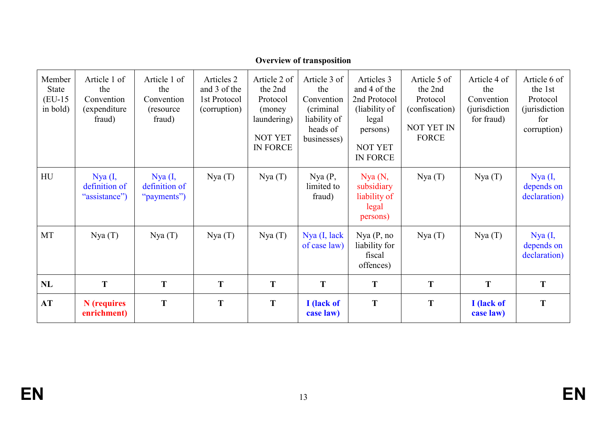| Member<br><b>State</b><br>$(EU-15)$<br>in bold) | Article 1 of<br>the<br>Convention<br>(expenditure)<br>fraud) | Article 1 of<br>the<br>Convention<br>(resource)<br>fraud) | Articles 2<br>and 3 of the<br>1st Protocol<br>(corruption) | Article 2 of<br>the 2nd<br>Protocol<br>(money)<br>laundering)<br><b>NOT YET</b><br><b>IN FORCE</b> | Article 3 of<br>the<br>Convention<br>(criminal)<br>liability of<br>heads of<br>businesses) | Articles 3<br>and 4 of the<br>2nd Protocol<br>(liability of<br>legal<br>persons)<br><b>NOT YET</b><br><b>IN FORCE</b> | Article 5 of<br>the 2nd<br>Protocol<br>(confiscation)<br><b>NOT YET IN</b><br><b>FORCE</b> | Article 4 of<br>the<br>Convention<br><i>(jurisdiction)</i><br>for fraud) | Article 6 of<br>the 1st<br>Protocol<br><i>(jurisdiction)</i><br>for<br>corruption) |
|-------------------------------------------------|--------------------------------------------------------------|-----------------------------------------------------------|------------------------------------------------------------|----------------------------------------------------------------------------------------------------|--------------------------------------------------------------------------------------------|-----------------------------------------------------------------------------------------------------------------------|--------------------------------------------------------------------------------------------|--------------------------------------------------------------------------|------------------------------------------------------------------------------------|
| HU                                              | Nya (I,<br>definition of<br>"assistance")                    | Nya (I,<br>definition of<br>"payments")                   | Nya(T)                                                     | Nya(T)                                                                                             | Nya(P,<br>limited to<br>fraud)                                                             | Nya(N,<br>subsidiary<br>liability of<br>legal<br>persons)                                                             | Nya(T)                                                                                     | Nya(T)                                                                   | Nya (I,<br>depends on<br>declaration)                                              |
| MT                                              | Nya(T)                                                       | Nya(T)                                                    | Nya(T)                                                     | Nya(T)                                                                                             | $Nya$ (I, lack<br>of case law)                                                             | Nya(P, no<br>liability for<br>fiscal<br>offences)                                                                     | Nya(T)                                                                                     | Nya(T)                                                                   | Nya (I,<br>depends on<br>declaration)                                              |
| NL                                              | T                                                            | T                                                         | T                                                          | T                                                                                                  | T                                                                                          | T                                                                                                                     | T                                                                                          | T                                                                        | T                                                                                  |
| <b>AT</b>                                       | N (requires<br>enrichment)                                   | T                                                         | T                                                          | T                                                                                                  | I (lack of<br>case law)                                                                    | T                                                                                                                     | T                                                                                          | I (lack of<br>case law)                                                  | T                                                                                  |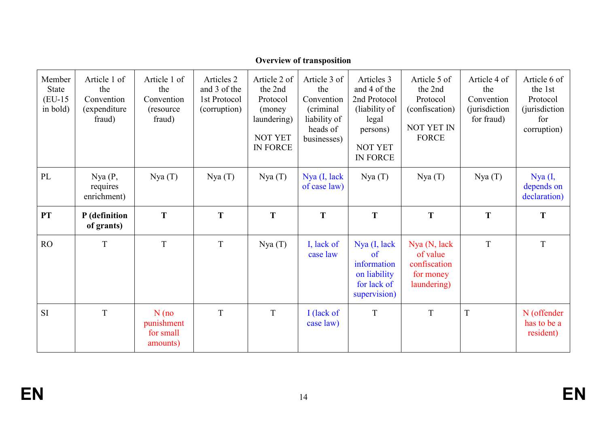| Member<br><b>State</b><br>$(EU-15)$<br>in bold) | Article 1 of<br>the<br>Convention<br>(expenditure)<br>fraud) | Article 1 of<br>the<br>Convention<br>(resource)<br>fraud) | Articles 2<br>and 3 of the<br>1st Protocol<br>(corruption) | Article 2 of<br>the 2nd<br>Protocol<br>(money)<br>laundering)<br><b>NOT YET</b><br><b>IN FORCE</b> | Article 3 of<br>the<br>Convention<br>(criminal)<br>liability of<br>heads of<br>businesses) | Articles 3<br>and 4 of the<br>2nd Protocol<br>(liability of<br>legal<br>persons)<br>NOT YET<br>IN FORCE | Article 5 of<br>the 2nd<br>Protocol<br>(confiscation)<br><b>NOT YET IN</b><br><b>FORCE</b> | Article 4 of<br>the<br>Convention<br><i>(jurisdiction)</i><br>for fraud) | Article 6 of<br>the 1st<br>Protocol<br><i>(jurisdiction)</i><br>for<br>corruption) |
|-------------------------------------------------|--------------------------------------------------------------|-----------------------------------------------------------|------------------------------------------------------------|----------------------------------------------------------------------------------------------------|--------------------------------------------------------------------------------------------|---------------------------------------------------------------------------------------------------------|--------------------------------------------------------------------------------------------|--------------------------------------------------------------------------|------------------------------------------------------------------------------------|
| PL                                              | Nya(P,<br>requires<br>enrichment)                            | Nya(T)                                                    | Nya(T)                                                     | Nya(T)                                                                                             | Nya (I, lack<br>of case law)                                                               | Nya(T)                                                                                                  | Nya(T)                                                                                     | Nya(T)                                                                   | Nya (I,<br>depends on<br>declaration)                                              |
| <b>PT</b>                                       | P (definition<br>of grants)                                  | T                                                         | T                                                          | T                                                                                                  | T                                                                                          | T                                                                                                       | T                                                                                          | T                                                                        | T                                                                                  |
| RO                                              | T                                                            | T                                                         | T                                                          | Nya(T)                                                                                             | I, lack of<br>case law                                                                     | Nya (I, lack<br>$\alpha$ f<br>information<br>on liability<br>for lack of<br>supervision)                | Nya (N, lack<br>of value<br>confiscation<br>for money<br>laundering)                       | $\rm T$                                                                  | T                                                                                  |
| <b>SI</b>                                       | T                                                            | $N$ (no<br>punishment<br>for small<br>amounts)            | T                                                          | T                                                                                                  | I (lack of<br>case law)                                                                    | T                                                                                                       | T                                                                                          | T                                                                        | N (offender<br>has to be a<br>resident)                                            |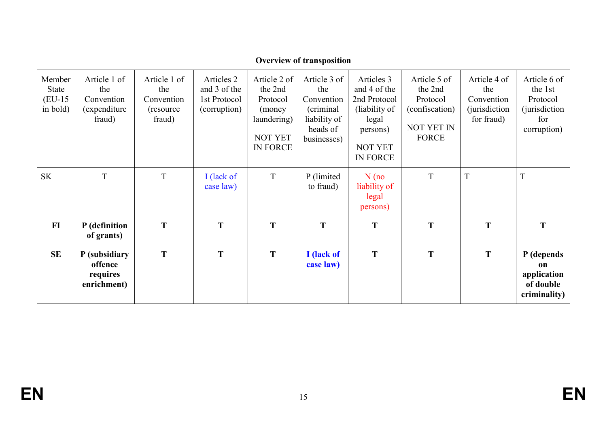| Member<br>State<br>$(EU-15)$<br>in bold) | Article 1 of<br>the<br>Convention<br>(expenditure)<br>fraud) | Article 1 of<br>the<br>Convention<br>(resource)<br>fraud) | Articles 2<br>and 3 of the<br>1st Protocol<br>(corruption) | Article 2 of<br>the 2nd<br>Protocol<br>(money)<br>laundering)<br><b>NOT YET</b><br><b>IN FORCE</b> | Article 3 of<br>the<br>Convention<br>(criminal)<br>liability of<br>heads of<br>businesses) | Articles 3<br>and 4 of the<br>2nd Protocol<br>(liability of<br>legal<br>persons)<br><b>NOT YET</b><br><b>IN FORCE</b> | Article 5 of<br>the 2nd<br>Protocol<br>(confiscation)<br><b>NOT YET IN</b><br><b>FORCE</b> | Article 4 of<br>the<br>Convention<br><i>(jurisdiction)</i><br>for fraud) | Article 6 of<br>the 1st<br>Protocol<br><i>(jurisdiction)</i><br>for<br>corruption) |
|------------------------------------------|--------------------------------------------------------------|-----------------------------------------------------------|------------------------------------------------------------|----------------------------------------------------------------------------------------------------|--------------------------------------------------------------------------------------------|-----------------------------------------------------------------------------------------------------------------------|--------------------------------------------------------------------------------------------|--------------------------------------------------------------------------|------------------------------------------------------------------------------------|
| <b>SK</b>                                | T                                                            | T                                                         | I (lack of<br>case law)                                    | $\mathbf T$                                                                                        | P (limited)<br>to fraud)                                                                   | $N$ (no<br>liability of<br>legal<br>persons)                                                                          | T                                                                                          | T                                                                        | T                                                                                  |
| FI                                       | P (definition<br>of grants)                                  | T                                                         | T                                                          | T                                                                                                  | T                                                                                          | T                                                                                                                     | T                                                                                          | T                                                                        | T                                                                                  |
| <b>SE</b>                                | P (subsidiary<br>offence<br>requires<br>enrichment)          | T                                                         | T                                                          | T                                                                                                  | I (lack of<br>case law)                                                                    | T                                                                                                                     | T                                                                                          | T                                                                        | P (depends<br>on<br>application<br>of double<br>criminality)                       |